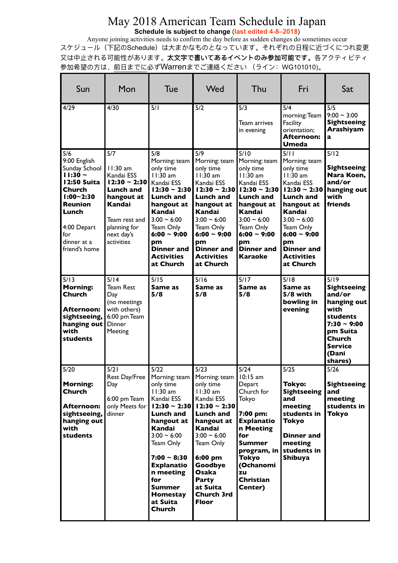## May 2018 American Team Schedule in Japan **Schedule is subject to change** (**last edited 4-8–2018**)

Anyone joining activities needs to confirm the day before as sudden changes do sometimes occur スケジュール (下記のSchedule) は大まかなものとなっています。それぞれの日程に近づくにつれ変更 又は中止される可能性があります。太文字で書いてあるイベントのみ参加可能です。各アクティビティ 参加希望の方は、前日までに必ずWarrenまでご連絡ください (ライン: WG101010)。

| Sun                                                                                                                                                                   | Mon                                                                                                                                                           | Tue                                                                                                                                                                                                                                                                    | Wed                                                                                                                                                                                                                                 | Thu                                                                                                                                                                                                                  | Fri                                                                                                                                                                                                                                         | Sat                                                                                                                                           |
|-----------------------------------------------------------------------------------------------------------------------------------------------------------------------|---------------------------------------------------------------------------------------------------------------------------------------------------------------|------------------------------------------------------------------------------------------------------------------------------------------------------------------------------------------------------------------------------------------------------------------------|-------------------------------------------------------------------------------------------------------------------------------------------------------------------------------------------------------------------------------------|----------------------------------------------------------------------------------------------------------------------------------------------------------------------------------------------------------------------|---------------------------------------------------------------------------------------------------------------------------------------------------------------------------------------------------------------------------------------------|-----------------------------------------------------------------------------------------------------------------------------------------------|
| 4/29                                                                                                                                                                  | 4/30                                                                                                                                                          | 5/1                                                                                                                                                                                                                                                                    | 5/2                                                                                                                                                                                                                                 | 5/3<br>Team arrives<br>in evening                                                                                                                                                                                    | 5/4<br>$m$ orning: Team<br>Facility<br>orientation;<br>Afternoon:<br>Umeda                                                                                                                                                                  | 5/5<br>$9:00 - 3:00$<br>Sightseeing<br>Arashiyam<br>a                                                                                         |
| 5/6<br>9:00 English<br>Sunday School<br>$11:30 -$<br>12:50 Suita<br>Church<br>$1:00 - 2:30$<br>Reunion<br>Lunch<br>4:00 Depart<br>for<br>dinner at a<br>friend's home | 5/7<br>$11:30$ am<br>Kandai ESS<br>$12:30 \sim 2:30$<br><b>Lunch and</b><br>hangout at<br>Kandai<br>Team rest and<br>planning for<br>next day's<br>activities | 5/8<br>Morning: team<br>only time<br>$11:30$ am<br>Kandai ESS<br>12:30 ~ 2:30 l<br><b>Lunch and</b><br>hangout at<br>Kandai<br>$3:00 - 6:00$<br>Team Only<br>$6:00 - 9:00$<br>pm<br>Dinner and<br><b>Activities</b><br>at Church                                       | 5/9<br>Morning: team<br>only time<br>$11:30$ am<br>Kandai ESS<br>$12:30 - 2:30$<br><b>Lunch and</b><br>hangout at<br>Kandai<br>$3:00 - 6:00$<br>Team Only<br>$6:00 \sim 9:00$<br>pm<br><b>Dinner</b> and<br>Activities<br>at Church | 5/10<br>Morning: team<br>only time<br>$11:30$ am<br>Kandai ESS<br>$12:30 - 2:30$<br><b>Lunch and</b><br>hangout at<br>Kandai<br>$3:00 - 6:00$<br>Team Only<br>$6:00 \sim 9:00$<br>pm<br><b>Dinner</b> and<br>Karaoke | 5/11<br>Morning: team<br>only time<br>$11:30$ am<br>Kandai ESS<br>$12:30 - 2:30$<br><b>Lunch and</b><br>hangout at<br>Kandai<br>$3:00 - 6:00$<br><b>Team Only</b><br>$6:00 \sim 9:00$<br>pm<br><b>Dinner</b> and<br>Activities<br>at Church | 5/12<br><b>Sightseeing</b><br>Nara Koen,<br>and/or<br>hanging out<br>with<br>friends                                                          |
| 5/13<br><b>Morning:</b><br>Church<br>Afternoon:<br>sightseeing,<br>hanging out<br>with<br>students                                                                    | 5/14<br><b>Team Rest</b><br>Day<br>(no meetings<br>with others)<br>6:00 pm Team<br>Dinner<br>Meeting                                                          | 5/15<br>Same as<br>5/8                                                                                                                                                                                                                                                 | 5/16<br>Same as<br>5/8                                                                                                                                                                                                              | 5/17<br>Same as<br>5/8                                                                                                                                                                                               | 5/18<br>Same as<br>5/8 with<br>bowling in<br>evening                                                                                                                                                                                        | 5/19<br><b>Sightseeing</b><br>and/or<br>hanging out<br>with<br>students<br>$7:30 - 9:00$<br>pm Suita<br>Church<br>Service<br>(Dani<br>shares) |
| 5/20<br><b>Morning:</b><br>Church<br>Afternoon:<br>sightseeing,<br>hanging out<br>with<br>students                                                                    | 5/21<br>Rest Day/Free<br>Day<br>6:00 pm Team<br>only Meets for<br>dinner                                                                                      | 5/22<br>Morning: team<br>only time<br>$11:30$ am<br>Kandai ESS<br>$12:30 \sim 2:30$<br>Lunch and<br>hangout at<br>Kandai<br>$3:00 - 6:00$<br>Team Only<br>$7:00 \sim 8:30$<br><b>Explanatio</b><br>n meeting<br>for<br>Summer<br>Homestay<br>at Suita<br><b>Church</b> | 5/23<br>Morning: team<br>only time<br>11:30 am<br>Kandai ESS<br>$12:30 - 2:30$<br>Lunch and<br>hangout at<br>Kandai<br>$3:00 - 6:00$<br>Team Only<br>6:00 pm<br>Goodbye<br>Osaka<br>Party<br>at Suita<br>Church 3rd<br><b>Floor</b> | 5/24<br>$10:15$ am<br>Depart<br>Church for<br>Tokyo<br>7:00 pm:<br><b>Explanatio</b><br>n Meeting<br>for<br>Summer<br>program, in<br>Tokyo<br>(Ochanomi<br>zu<br>Christian<br>Center)                                | 5/25<br>Tokyo:<br><b>Sightseeing</b><br>and<br>meeting<br>students in<br>Tokyo<br>Dinner and<br>meeting<br>students in<br>Shibuya                                                                                                           | 5/26<br>Sightseeing<br>and<br>meeting<br>students in<br>Tokyo                                                                                 |